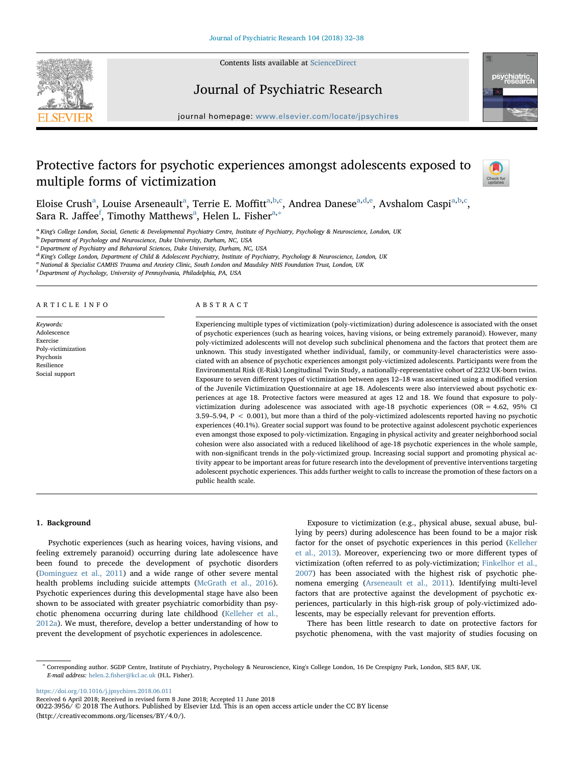

Contents lists available at [ScienceDirect](http://www.sciencedirect.com/science/journal/00223956)

# Journal of Psychiatric Research



journal homepage: [www.elsevier.com/locate/jpsychires](https://www.elsevier.com/locate/jpsychires)

# Protective factors for psychotic experiences amongst adolescents exposed to multiple forms of victimization



Eloise Crush<sup>[a](#page-0-0)</sup>, Louise Arseneault<sup>a</sup>, Terrie E. Moffitt<sup>[a,](#page-0-0)[b](#page-0-1),[c](#page-0-2)</sup>, Andrea Danese<sup>a[,d](#page-0-3)[,e](#page-0-4)</sup>, Avshalom Caspi<sup>a,b[,c](#page-0-2)</sup>, Sara R. Ja[f](#page-0-5)fee $^{\rm f}$ , Timothy M[a](#page-0-0)tthews $^{\rm a}$ , Helen L. Fisher $^{\rm a,*}$ 

<span id="page-0-0"></span><sup>a</sup> King's College London, Social, Genetic & Developmental Psychiatry Centre, Institute of Psychiatry, Psychology & Neuroscience, London, UK

<span id="page-0-1"></span><sup>b</sup> Department of Psychology and Neuroscience, Duke University, Durham, NC, USA

<span id="page-0-2"></span>c Department of Psychiatry and Behavioral Sciences, Duke University, Durham, NC, USA

<span id="page-0-3"></span><sup>d</sup> King's College London, Department of Child & Adolescent Psychiatry, Institute of Psychiatry, Psychology & Neuroscience, London, UK

<span id="page-0-4"></span><sup>e</sup> National & Specialist CAMHS Trauma and Anxiety Clinic, South London and Maudsley NHS Foundation Trust, London, UK

<span id="page-0-5"></span>f Department of Psychology, University of Pennsylvania, Philadelphia, PA, USA

#### ARTICLE INFO

Keywords: Adolescence Exercise Poly-victimization Psychosis Resilience Social support

#### ABSTRACT

Experiencing multiple types of victimization (poly-victimization) during adolescence is associated with the onset of psychotic experiences (such as hearing voices, having visions, or being extremely paranoid). However, many poly-victimized adolescents will not develop such subclinical phenomena and the factors that protect them are unknown. This study investigated whether individual, family, or community-level characteristics were associated with an absence of psychotic experiences amongst poly-victimized adolescents. Participants were from the Environmental Risk (E-Risk) Longitudinal Twin Study, a nationally-representative cohort of 2232 UK-born twins. Exposure to seven different types of victimization between ages 12–18 was ascertained using a modified version of the Juvenile Victimization Questionnaire at age 18. Adolescents were also interviewed about psychotic experiences at age 18. Protective factors were measured at ages 12 and 18. We found that exposure to polyvictimization during adolescence was associated with age-18 psychotic experiences (OR = 4.62, 95% CI 3.59–5.94, P < 0.001), but more than a third of the poly-victimized adolescents reported having no psychotic experiences (40.1%). Greater social support was found to be protective against adolescent psychotic experiences even amongst those exposed to poly-victimization. Engaging in physical activity and greater neighborhood social cohesion were also associated with a reduced likelihood of age-18 psychotic experiences in the whole sample, with non-significant trends in the poly-victimized group. Increasing social support and promoting physical activity appear to be important areas for future research into the development of preventive interventions targeting adolescent psychotic experiences. This adds further weight to calls to increase the promotion of these factors on a public health scale.

#### 1. Background

Psychotic experiences (such as hearing voices, having visions, and feeling extremely paranoid) occurring during late adolescence have been found to precede the development of psychotic disorders ([Dominguez et al., 2011\)](#page-5-0) and a wide range of other severe mental health problems including suicide attempts ([McGrath et al., 2016](#page-5-1)). Psychotic experiences during this developmental stage have also been shown to be associated with greater psychiatric comorbidity than psychotic phenomena occurring during late childhood ([Kelleher et al.,](#page-5-2) [2012a\)](#page-5-2). We must, therefore, develop a better understanding of how to prevent the development of psychotic experiences in adolescence.

Exposure to victimization (e.g., physical abuse, sexual abuse, bullying by peers) during adolescence has been found to be a major risk factor for the onset of psychotic experiences in this period [\(Kelleher](#page-5-3) [et al., 2013\)](#page-5-3). Moreover, experiencing two or more different types of victimization (often referred to as poly-victimization; [Finkelhor et al.,](#page-5-4) [2007\)](#page-5-4) has been associated with the highest risk of psychotic phenomena emerging ([Arseneault et al., 2011\)](#page-5-5). Identifying multi-level factors that are protective against the development of psychotic experiences, particularly in this high-risk group of poly-victimized adolescents, may be especially relevant for prevention efforts.

There has been little research to date on protective factors for psychotic phenomena, with the vast majority of studies focusing on

<https://doi.org/10.1016/j.jpsychires.2018.06.011>

<span id="page-0-6"></span><sup>∗</sup> Corresponding author. SGDP Centre, Institute of Psychiatry, Psychology & Neuroscience, King's College London, 16 De Crespigny Park, London, SE5 8AF, UK. E-mail address: helen.2.fi[sher@kcl.ac.uk](mailto:helen.2.fisher@kcl.ac.uk) (H.L. Fisher).

Received 6 April 2018; Received in revised form 8 June 2018; Accepted 11 June 2018

<sup>0022-3956/ © 2018</sup> The Authors. Published by Elsevier Ltd. This is an open access article under the CC BY license (http://creativecommons.org/licenses/BY/4.0/).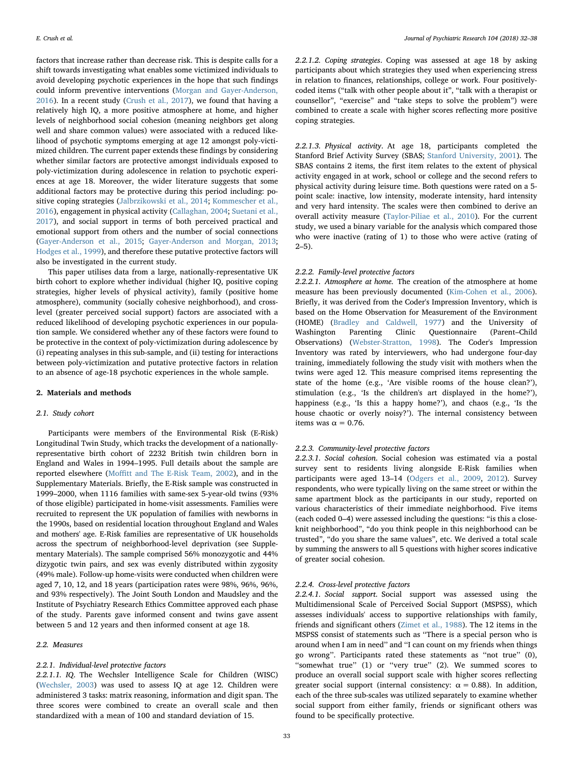factors that increase rather than decrease risk. This is despite calls for a shift towards investigating what enables some victimized individuals to avoid developing psychotic experiences in the hope that such findings could inform preventive interventions [\(Morgan and Gayer-Anderson,](#page-5-6) [2016\)](#page-5-6). In a recent study ([Crush et al., 2017\)](#page-5-7), we found that having a relatively high IQ, a more positive atmosphere at home, and higher levels of neighborhood social cohesion (meaning neighbors get along well and share common values) were associated with a reduced likelihood of psychotic symptoms emerging at age 12 amongst poly-victimized children. The current paper extends these findings by considering whether similar factors are protective amongst individuals exposed to poly-victimization during adolescence in relation to psychotic experiences at age 18. Moreover, the wider literature suggests that some additional factors may be protective during this period including: positive coping strategies [\(Jalbrzikowski et al., 2014;](#page-5-8) [Kommescher et al.,](#page-5-9) [2016\)](#page-5-9), engagement in physical activity [\(Callaghan, 2004](#page-5-10); [Suetani et al.,](#page-5-11) [2017\)](#page-5-11), and social support in terms of both perceived practical and emotional support from others and the number of social connections ([Gayer-Anderson et al., 2015](#page-5-12); [Gayer-Anderson and Morgan, 2013](#page-5-13); [Hodges et al., 1999\)](#page-5-14), and therefore these putative protective factors will also be investigated in the current study.

This paper utilises data from a large, nationally-representative UK birth cohort to explore whether individual (higher IQ, positive coping strategies, higher levels of physical activity), family (positive home atmosphere), community (socially cohesive neighborhood), and crosslevel (greater perceived social support) factors are associated with a reduced likelihood of developing psychotic experiences in our population sample. We considered whether any of these factors were found to be protective in the context of poly-victimization during adolescence by (i) repeating analyses in this sub-sample, and (ii) testing for interactions between poly-victimization and putative protective factors in relation to an absence of age-18 psychotic experiences in the whole sample.

#### 2. Materials and methods

#### 2.1. Study cohort

Participants were members of the Environmental Risk (E-Risk) Longitudinal Twin Study, which tracks the development of a nationallyrepresentative birth cohort of 2232 British twin children born in England and Wales in 1994–1995. Full details about the sample are reported elsewhere (Moffi[tt and The E-Risk Team, 2002](#page-5-15)), and in the Supplementary Materials. Briefly, the E-Risk sample was constructed in 1999–2000, when 1116 families with same-sex 5-year-old twins (93% of those eligible) participated in home-visit assessments. Families were recruited to represent the UK population of families with newborns in the 1990s, based on residential location throughout England and Wales and mothers' age. E-Risk families are representative of UK households across the spectrum of neighborhood-level deprivation (see Supplementary Materials). The sample comprised 56% monozygotic and 44% dizygotic twin pairs, and sex was evenly distributed within zygosity (49% male). Follow-up home-visits were conducted when children were aged 7, 10, 12, and 18 years (participation rates were 98%, 96%, 96%, and 93% respectively). The Joint South London and Maudsley and the Institute of Psychiatry Research Ethics Committee approved each phase of the study. Parents gave informed consent and twins gave assent between 5 and 12 years and then informed consent at age 18.

# 2.2. Measures

# 2.2.1. Individual-level protective factors

2.2.1.1. IQ. The Wechsler Intelligence Scale for Children (WISC) ([Wechsler, 2003](#page-6-0)) was used to assess IQ at age 12. Children were administered 3 tasks: matrix reasoning, information and digit span. The three scores were combined to create an overall scale and then standardized with a mean of 100 and standard deviation of 15.

2.2.1.2. Coping strategies. Coping was assessed at age 18 by asking participants about which strategies they used when experiencing stress in relation to finances, relationships, college or work. Four positivelycoded items ("talk with other people about it", "talk with a therapist or counsellor", "exercise" and "take steps to solve the problem") were combined to create a scale with higher scores reflecting more positive coping strategies.

2.2.1.3. Physical activity. At age 18, participants completed the Stanford Brief Activity Survey (SBAS; [Stanford University, 2001](#page-5-16)). The SBAS contains 2 items, the first item relates to the extent of physical activity engaged in at work, school or college and the second refers to physical activity during leisure time. Both questions were rated on a 5 point scale: inactive, low intensity, moderate intensity, hard intensity and very hard intensity. The scales were then combined to derive an overall activity measure ([Taylor-Piliae et al., 2010\)](#page-5-17). For the current study, we used a binary variable for the analysis which compared those who were inactive (rating of 1) to those who were active (rating of  $2 - 5$ ).

# 2.2.2. Family-level protective factors

2.2.2.1. Atmosphere at home. The creation of the atmosphere at home measure has been previously documented ([Kim-Cohen et al., 2006](#page-5-18)). Briefly, it was derived from the Coder's Impression Inventory, which is based on the Home Observation for Measurement of the Environment (HOME) [\(Bradley and Caldwell, 1977\)](#page-5-19) and the University of Washington Parenting Clinic Questionnaire (Parent–Child Observations) ([Webster-Stratton, 1998\)](#page-6-1). The Coder's Impression Inventory was rated by interviewers, who had undergone four-day training, immediately following the study visit with mothers when the twins were aged 12. This measure comprised items representing the state of the home (e.g., 'Are visible rooms of the house clean?'), stimulation (e.g., 'Is the children's art displayed in the home?'), happiness (e.g., 'Is this a happy home?'), and chaos (e.g., 'Is the house chaotic or overly noisy?'). The internal consistency between items was  $\alpha$  = 0.76.

#### 2.2.3. Community-level protective factors

2.2.3.1. Social cohesion. Social cohesion was estimated via a postal survey sent to residents living alongside E-Risk families when participants were aged 13–14 [\(Odgers et al., 2009](#page-5-20), [2012\)](#page-5-21). Survey respondents, who were typically living on the same street or within the same apartment block as the participants in our study, reported on various characteristics of their immediate neighborhood. Five items (each coded 0–4) were assessed including the questions: "is this a closeknit neighborhood", "do you think people in this neighborhood can be trusted", "do you share the same values", etc. We derived a total scale by summing the answers to all 5 questions with higher scores indicative of greater social cohesion.

#### 2.2.4. Cross-level protective factors

2.2.4.1. Social support. Social support was assessed using the Multidimensional Scale of Perceived Social Support (MSPSS), which assesses individuals' access to supportive relationships with family, friends and significant others ([Zimet et al., 1988\)](#page-6-2). The 12 items in the MSPSS consist of statements such as ''There is a special person who is around when I am in need'' and ''I can count on my friends when things go wrong''. Participants rated these statements as ''not true'' (0), "somewhat true" (1) or "very true" (2). We summed scores to produce an overall social support scale with higher scores reflecting greater social support (internal consistency:  $\alpha = 0.88$ ). In addition, each of the three sub-scales was utilized separately to examine whether social support from either family, friends or significant others was found to be specifically protective.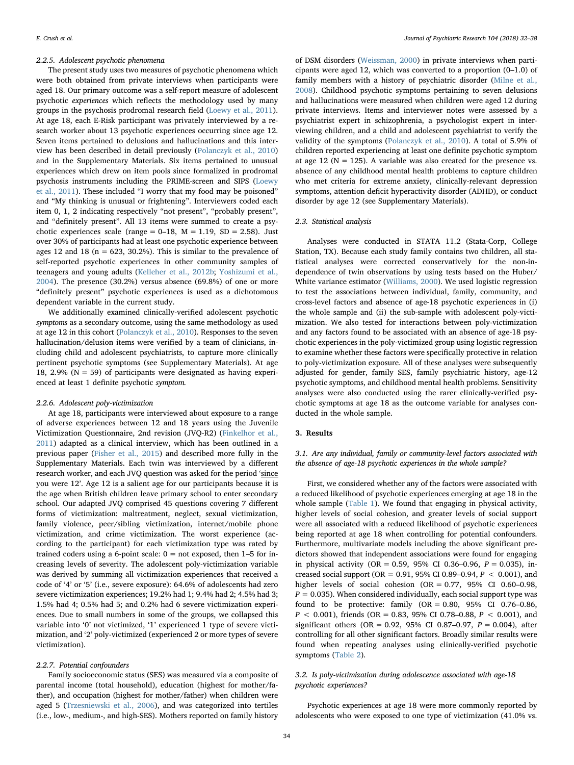#### 2.2.5. Adolescent psychotic phenomena

The present study uses two measures of psychotic phenomena which were both obtained from private interviews when participants were aged 18. Our primary outcome was a self-report measure of adolescent psychotic experiences which reflects the methodology used by many groups in the psychosis prodromal research field [\(Loewy et al., 2011](#page-5-22)). At age 18, each E-Risk participant was privately interviewed by a research worker about 13 psychotic experiences occurring since age 12. Seven items pertained to delusions and hallucinations and this interview has been described in detail previously [\(Polanczyk et al., 2010\)](#page-5-23) and in the Supplementary Materials. Six items pertained to unusual experiences which drew on item pools since formalized in prodromal psychosis instruments including the PRIME-screen and SIPS ([Loewy](#page-5-22) [et al., 2011\)](#page-5-22). These included "I worry that my food may be poisoned" and "My thinking is unusual or frightening". Interviewers coded each item 0, 1, 2 indicating respectively "not present", "probably present", and "definitely present". All 13 items were summed to create a psychotic experiences scale (range =  $0-18$ ,  $M = 1.19$ ,  $SD = 2.58$ ). Just over 30% of participants had at least one psychotic experience between ages 12 and 18 ( $n = 623$ , 30.2%). This is similar to the prevalence of self-reported psychotic experiences in other community samples of teenagers and young adults [\(Kelleher et al., 2012b](#page-5-24); [Yoshizumi et al.,](#page-6-3) [2004\)](#page-6-3). The presence (30.2%) versus absence (69.8%) of one or more "definitely present" psychotic experiences is used as a dichotomous dependent variable in the current study.

We additionally examined clinically-verified adolescent psychotic symptoms as a secondary outcome, using the same methodology as used at age 12 in this cohort ([Polanczyk et al., 2010](#page-5-23)). Responses to the seven hallucination/delusion items were verified by a team of clinicians, including child and adolescent psychiatrists, to capture more clinically pertinent psychotic symptoms (see Supplementary Materials). At age 18, 2.9% ( $N = 59$ ) of participants were designated as having experienced at least 1 definite psychotic symptom.

#### 2.2.6. Adolescent poly-victimization

At age 18, participants were interviewed about exposure to a range of adverse experiences between 12 and 18 years using the Juvenile Victimization Questionnaire, 2nd revision (JVQ-R2) ([Finkelhor et al.,](#page-5-25) [2011\)](#page-5-25) adapted as a clinical interview, which has been outlined in a previous paper ([Fisher et al., 2015](#page-5-26)) and described more fully in the Supplementary Materials. Each twin was interviewed by a different research worker, and each JVQ question was asked for the period 'since you were 12'. Age 12 is a salient age for our participants because it is the age when British children leave primary school to enter secondary school. Our adapted JVQ comprised 45 questions covering 7 different forms of victimization: maltreatment, neglect, sexual victimization, family violence, peer/sibling victimization, internet/mobile phone victimization, and crime victimization. The worst experience (according to the participant) for each victimization type was rated by trained coders using a 6-point scale:  $0 = not$  exposed, then  $1-5$  for increasing levels of severity. The adolescent poly-victimization variable was derived by summing all victimization experiences that received a code of '4' or '5' (i.e., severe exposure): 64.6% of adolescents had zero severe victimization experiences; 19.2% had 1; 9.4% had 2; 4.5% had 3; 1.5% had 4; 0.5% had 5; and 0.2% had 6 severe victimization experiences. Due to small numbers in some of the groups, we collapsed this variable into '0' not victimized, '1' experienced 1 type of severe victimization, and '2' poly-victimized (experienced 2 or more types of severe victimization).

#### 2.2.7. Potential confounders

Family socioeconomic status (SES) was measured via a composite of parental income (total household), education (highest for mother/father), and occupation (highest for mother/father) when children were aged 5 ([Trzesniewski et al., 2006](#page-6-4)), and was categorized into tertiles (i.e., low-, medium-, and high-SES). Mothers reported on family history of DSM disorders [\(Weissman, 2000\)](#page-6-5) in private interviews when participants were aged 12, which was converted to a proportion (0–1.0) of family members with a history of psychiatric disorder ([Milne et al.,](#page-5-27) [2008\)](#page-5-27). Childhood psychotic symptoms pertaining to seven delusions and hallucinations were measured when children were aged 12 during private interviews. Items and interviewer notes were assessed by a psychiatrist expert in schizophrenia, a psychologist expert in interviewing children, and a child and adolescent psychiatrist to verify the validity of the symptoms ([Polanczyk et al., 2010](#page-5-23)). A total of 5.9% of children reported experiencing at least one definite psychotic symptom at age 12 ( $N = 125$ ). A variable was also created for the presence vs. absence of any childhood mental health problems to capture children who met criteria for extreme anxiety, clinically-relevant depression symptoms, attention deficit hyperactivity disorder (ADHD), or conduct disorder by age 12 (see Supplementary Materials).

# 2.3. Statistical analysis

Analyses were conducted in STATA 11.2 (Stata-Corp, College Station, TX). Because each study family contains two children, all statistical analyses were corrected conservatively for the non-independence of twin observations by using tests based on the Huber/ White variance estimator ([Williams, 2000](#page-6-6)). We used logistic regression to test the associations between individual, family, community, and cross-level factors and absence of age-18 psychotic experiences in (i) the whole sample and (ii) the sub-sample with adolescent poly-victimization. We also tested for interactions between poly-victimization and any factors found to be associated with an absence of age-18 psychotic experiences in the poly-victimized group using logistic regression to examine whether these factors were specifically protective in relation to poly-victimization exposure. All of these analyses were subsequently adjusted for gender, family SES, family psychiatric history, age-12 psychotic symptoms, and childhood mental health problems. Sensitivity analyses were also conducted using the rarer clinically-verified psychotic symptoms at age 18 as the outcome variable for analyses conducted in the whole sample.

#### 3. Results

# 3.1. Are any individual, family or community-level factors associated with the absence of age-18 psychotic experiences in the whole sample?

First, we considered whether any of the factors were associated with a reduced likelihood of psychotic experiences emerging at age 18 in the whole sample ([Table 1\)](#page-3-0). We found that engaging in physical activity, higher levels of social cohesion, and greater levels of social support were all associated with a reduced likelihood of psychotic experiences being reported at age 18 when controlling for potential confounders. Furthermore, multivariate models including the above significant predictors showed that independent associations were found for engaging in physical activity (OR = 0.59, 95% CI 0.36-0.96,  $P = 0.035$ ), increased social support (OR =  $0.91$ , 95% CI 0.89-0.94,  $P < 0.001$ ), and higher levels of social cohesion (OR = 0.77, 95% CI 0.60–0.98,  $P = 0.035$ ). When considered individually, each social support type was found to be protective: family  $(OR = 0.80, 95\% \text{ CI} 0.76-0.86,$  $P < 0.001$ ), friends (OR = 0.83, 95% CI 0.78–0.88,  $P < 0.001$ ), and significant others (OR = 0.92, 95% CI 0.87-0.97,  $P = 0.004$ ), after controlling for all other significant factors. Broadly similar results were found when repeating analyses using clinically-verified psychotic symptoms ([Table 2\)](#page-3-1).

# 3.2. Is poly-victimization during adolescence associated with age-18 psychotic experiences?

Psychotic experiences at age 18 were more commonly reported by adolescents who were exposed to one type of victimization (41.0% vs.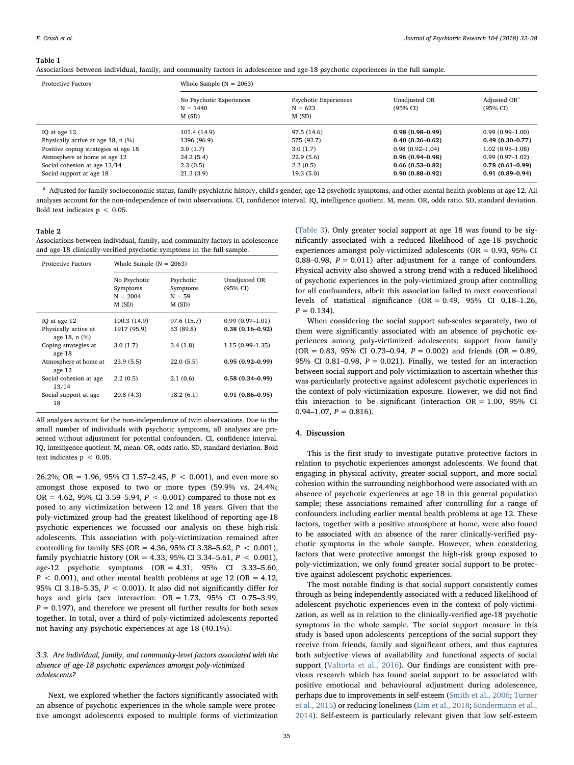#### <span id="page-3-0"></span>Table 1

Associations between individual, family, and community factors in adolescence and age-18 psychotic experiences in the full sample.

| <b>Protective Factors</b>            | Whole Sample $(N = 2063)$                       |                                             |                                      |                                      |  |  |  |  |
|--------------------------------------|-------------------------------------------------|---------------------------------------------|--------------------------------------|--------------------------------------|--|--|--|--|
|                                      | No Psychotic Experiences<br>$N = 1440$<br>M(SD) | Psychotic Experiences<br>$N = 623$<br>M(SD) | Unadjusted OR<br>$(95\% \text{ CI})$ | Adjusted OR <sup>a</sup><br>(95% CI) |  |  |  |  |
| IQ at age 12                         | 101.4 (14.9)                                    | 97.5 (14.6)                                 | $0.98(0.98-0.99)$                    | $0.99(0.99 - 1.00)$                  |  |  |  |  |
| Physically active at age 18, $n$ (%) | 1396 (96.9)                                     | 575 (92.7)                                  | $0.40(0.26 - 0.62)$                  | $0.49(0.30-0.77)$                    |  |  |  |  |
| Positive coping strategies at age 18 | 3.0(1.7)                                        | 3.0(1.7)                                    | $0.98(0.92 - 1.04)$                  | $1.02(0.95 - 1.08)$                  |  |  |  |  |
| Atmosphere at home at age 12         | 24.2(5.4)                                       | 22.9(5.6)                                   | $0.96(0.94 - 0.98)$                  | $0.99(0.97-1.02)$                    |  |  |  |  |
| Social cohesion at age 13/14         | 2.3(0.5)                                        | 2.2(0.5)                                    | $0.66(0.53-0.82)$                    | $0.78(0.61 - 0.99)$                  |  |  |  |  |
| Social support at age 18             | 21.3(3.9)                                       | 19.3(5.0)                                   | $0.90(0.88 - 0.92)$                  | $0.91(0.89 - 0.94)$                  |  |  |  |  |

<span id="page-3-2"></span><sup>a</sup> Adjusted for family socioeconomic status, family psychiatric history, child's gender, age-12 psychotic symptoms, and other mental health problems at age 12. All analyses account for the non-independence of twin observations. CI, confidence interval. IQ, intelligence quotient. M, mean. OR, odds ratio. SD, standard deviation. Bold text indicates  $p < 0.05$ .

## <span id="page-3-1"></span>Table 2

Associations between individual, family, and community factors in adolescence and age-18 clinically-verified psychotic symptoms in the full sample.

| <b>Protective Factors</b>                             | Whole Sample ( $N = 2063$ )                     |                                            |                                          |  |  |  |  |
|-------------------------------------------------------|-------------------------------------------------|--------------------------------------------|------------------------------------------|--|--|--|--|
|                                                       | No Psychotic<br>Symptoms<br>$N = 2004$<br>M(SD) | Psychotic<br>Symptoms<br>$N = 59$<br>M(SD) | Unadjusted OR<br>(95% CI)                |  |  |  |  |
| IQ at age 12<br>Physically active at<br>age 18, n (%) | 100.3 (14.9)<br>1917 (95.9)                     | 97.6 (15.7)<br>53 (89.8)                   | $0.99(0.97-1.01)$<br>$0.38(0.16 - 0.92)$ |  |  |  |  |
| Coping strategies at<br>age 18                        | 3.0(1.7)                                        | 3.4(1.8)                                   | $1.15(0.99-1.35)$                        |  |  |  |  |
| Atmosphere at home at<br>age 12                       | 23.9(5.5)                                       | 22.0(5.5)                                  | $0.95(0.92 - 0.99)$                      |  |  |  |  |
| Social cohesion at age<br>13/14                       | 2.2(0.5)                                        | 2.1(0.6)                                   | $0.58(0.34 - 0.99)$                      |  |  |  |  |
| Social support at age<br>18                           | 20.8(4.3)                                       | 18.2(6.1)                                  | $0.91(0.86 - 0.95)$                      |  |  |  |  |

All analyses account for the non-independence of twin observations. Due to the small number of individuals with psychotic symptoms, all analyses are presented without adjustment for potential confounders. CI, confidence interval. IQ, intelligence quotient. M, mean. OR, odds ratio. SD, standard deviation. Bold text indicates  $p < 0.05$ .

26.2%; OR = 1.96, 95% CI 1.57–2.45,  $P < 0.001$ ), and even more so amongst those exposed to two or more types (59.9% vs. 24.4%; OR = 4.62, 95% CI 3.59–5.94,  $P < 0.001$ ) compared to those not exposed to any victimization between 12 and 18 years. Given that the poly-victimized group had the greatest likelihood of reporting age-18 psychotic experiences we focussed our analysis on these high-risk adolescents. This association with poly-victimization remained after controlling for family SES (OR = 4.36, 95% CI 3.38–5.62,  $P < 0.001$ ), family psychiatric history (OR = 4.33, 95% CI 3.34-5.61,  $P < 0.001$ ), age-12 psychotic symptoms (OR = 4.31, 95% CI 3.33–5.60,  $P < 0.001$ ), and other mental health problems at age 12 (OR = 4.12, 95% CI 3.18–5.35,  $P < 0.001$ ). It also did not significantly differ for boys and girls (sex interaction:  $OR = 1.73$ , 95% CI 0.75–3.99,  $P = 0.197$ ), and therefore we present all further results for both sexes together. In total, over a third of poly-victimized adolescents reported not having any psychotic experiences at age 18 (40.1%).

# 3.3. Are individual, family, and community-level factors associated with the absence of age-18 psychotic experiences amongst poly-victimized adolescents?

Next, we explored whether the factors significantly associated with an absence of psychotic experiences in the whole sample were protective amongst adolescents exposed to multiple forms of victimization ([Table 3\)](#page-4-0). Only greater social support at age 18 was found to be significantly associated with a reduced likelihood of age-18 psychotic experiences amongst poly-victimized adolescents (OR = 0.93, 95% CI 0.88–0.98,  $P = 0.011$ ) after adjustment for a range of confounders. Physical activity also showed a strong trend with a reduced likelihood of psychotic experiences in the poly-victimized group after controlling for all confounders, albeit this association failed to meet conventional levels of statistical significance  $(OR = 0.49, 95\% \text{ CI } 0.18-1.26,$  $P = 0.134$ .

When considering the social support sub-scales separately, two of them were significantly associated with an absence of psychotic experiences among poly-victimized adolescents: support from family  $(OR = 0.83, 95\% \text{ CI } 0.73-0.94, P = 0.002)$  and friends  $(OR = 0.89,$ 95% CI 0.81-0.98,  $P = 0.021$ ). Finally, we tested for an interaction between social support and poly-victimization to ascertain whether this was particularly protective against adolescent psychotic experiences in the context of poly-victimization exposure. However, we did not find this interaction to be significant (interaction  $OR = 1.00$ , 95% CI 0.94–1.07,  $P = 0.816$ .

# 4. Discussion

This is the first study to investigate putative protective factors in relation to psychotic experiences amongst adolescents. We found that engaging in physical activity, greater social support, and more social cohesion within the surrounding neighborhood were associated with an absence of psychotic experiences at age 18 in this general population sample; these associations remained after controlling for a range of confounders including earlier mental health problems at age 12. These factors, together with a positive atmosphere at home, were also found to be associated with an absence of the rarer clinically-verified psychotic symptoms in the whole sample. However, when considering factors that were protective amongst the high-risk group exposed to poly-victimization, we only found greater social support to be protective against adolescent psychotic experiences.

The most notable finding is that social support consistently comes through as being independently associated with a reduced likelihood of adolescent psychotic experiences even in the context of poly-victimization, as well as in relation to the clinically-verified age-18 psychotic symptoms in the whole sample. The social support measure in this study is based upon adolescents' perceptions of the social support they receive from friends, family and significant others, and thus captures both subjective views of availability and functional aspects of social support ([Valtorta et al., 2016](#page-6-7)). Our findings are consistent with previous research which has found social support to be associated with positive emotional and behavioural adjustment during adolescence, perhaps due to improvements in self-esteem ([Smith et al., 2006](#page-5-28); [Turner](#page-6-8) [et al., 2015\)](#page-6-8) or reducing loneliness ([Lim et al., 2018;](#page-5-29) [Sündermann et al.,](#page-5-30) [2014\)](#page-5-30). Self-esteem is particularly relevant given that low self-esteem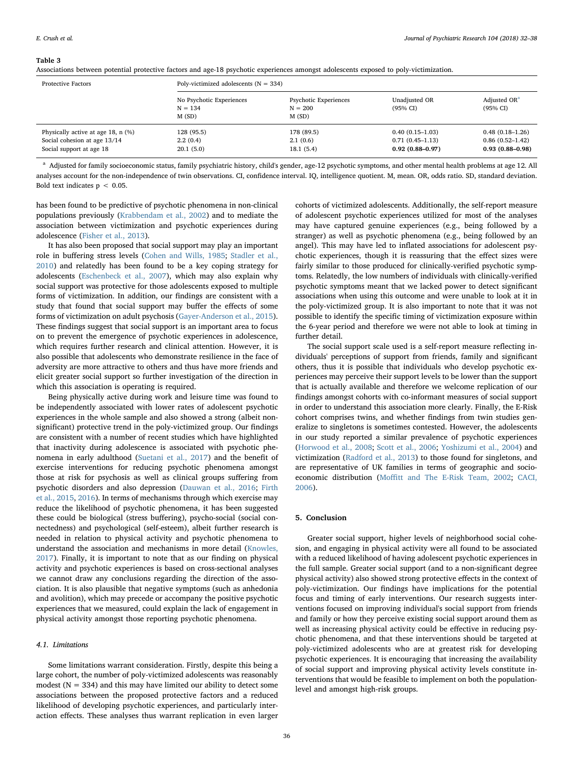#### <span id="page-4-0"></span>Table 3

| Associations between potential protective factors and age-18 psychotic experiences amongst adolescents exposed to poly-victimization. |  |  |  |  |  |  |  |  |  |  |  |  |
|---------------------------------------------------------------------------------------------------------------------------------------|--|--|--|--|--|--|--|--|--|--|--|--|
|---------------------------------------------------------------------------------------------------------------------------------------|--|--|--|--|--|--|--|--|--|--|--|--|

| <b>Protective Factors</b>                                                                        | Poly-victimized adolescents ( $N = 334$ )      |                                             |                                                               |                                                                 |  |  |  |
|--------------------------------------------------------------------------------------------------|------------------------------------------------|---------------------------------------------|---------------------------------------------------------------|-----------------------------------------------------------------|--|--|--|
|                                                                                                  | No Psychotic Experiences<br>$N = 134$<br>M(SD) | Psychotic Experiences<br>$N = 200$<br>M(SD) | Unadjusted OR<br>$(95% \text{ CI})$                           | Adjusted OR <sup>a</sup><br>(95% CI)                            |  |  |  |
| Physically active at age 18, $n$ (%)<br>Social cohesion at age 13/14<br>Social support at age 18 | 128 (95.5)<br>2.2(0.4)<br>20.1(5.0)            | 178 (89.5)<br>2.1(0.6)<br>18.1(5.4)         | $0.40(0.15-1.03)$<br>$0.71(0.45-1.13)$<br>$0.92(0.88 - 0.97)$ | $0.48(0.18-1.26)$<br>$0.86(0.52 - 1.42)$<br>$0.93(0.88 - 0.98)$ |  |  |  |

<span id="page-4-1"></span><sup>a</sup> Adjusted for family socioeconomic status, family psychiatric history, child's gender, age-12 psychotic symptoms, and other mental health problems at age 12. All analyses account for the non-independence of twin observations. CI, confidence interval. IQ, intelligence quotient. M, mean. OR, odds ratio. SD, standard deviation. Bold text indicates  $p < 0.05$ .

has been found to be predictive of psychotic phenomena in non-clinical populations previously ([Krabbendam et al., 2002](#page-5-31)) and to mediate the association between victimization and psychotic experiences during adolescence [\(Fisher et al., 2013](#page-5-32)).

It has also been proposed that social support may play an important role in buffering stress levels [\(Cohen and Wills, 1985;](#page-5-33) [Stadler et al.,](#page-5-34) [2010\)](#page-5-34) and relatedly has been found to be a key coping strategy for adolescents ([Eschenbeck et al., 2007\)](#page-5-35), which may also explain why social support was protective for those adolescents exposed to multiple forms of victimization. In addition, our findings are consistent with a study that found that social support may buffer the effects of some forms of victimization on adult psychosis [\(Gayer-Anderson et al., 2015](#page-5-12)). These findings suggest that social support is an important area to focus on to prevent the emergence of psychotic experiences in adolescence, which requires further research and clinical attention. However, it is also possible that adolescents who demonstrate resilience in the face of adversity are more attractive to others and thus have more friends and elicit greater social support so further investigation of the direction in which this association is operating is required.

Being physically active during work and leisure time was found to be independently associated with lower rates of adolescent psychotic experiences in the whole sample and also showed a strong (albeit nonsignificant) protective trend in the poly-victimized group. Our findings are consistent with a number of recent studies which have highlighted that inactivity during adolescence is associated with psychotic phenomena in early adulthood [\(Suetani et al., 2017\)](#page-5-11) and the benefit of exercise interventions for reducing psychotic phenomena amongst those at risk for psychosis as well as clinical groups suffering from psychotic disorders and also depression ([Dauwan et al., 2016](#page-5-36); [Firth](#page-5-37) [et al., 2015,](#page-5-37) [2016\)](#page-5-38). In terms of mechanisms through which exercise may reduce the likelihood of psychotic phenomena, it has been suggested these could be biological (stress buffering), psycho-social (social connectedness) and psychological (self-esteem), albeit further research is needed in relation to physical activity and psychotic phenomena to understand the association and mechanisms in more detail ([Knowles,](#page-5-39) [2017\)](#page-5-39). Finally, it is important to note that as our finding on physical activity and psychotic experiences is based on cross-sectional analyses we cannot draw any conclusions regarding the direction of the association. It is also plausible that negative symptoms (such as anhedonia and avolition), which may precede or accompany the positive psychotic experiences that we measured, could explain the lack of engagement in physical activity amongst those reporting psychotic phenomena.

# 4.1. Limitations

Some limitations warrant consideration. Firstly, despite this being a large cohort, the number of poly-victimized adolescents was reasonably modest ( $N = 334$ ) and this may have limited our ability to detect some associations between the proposed protective factors and a reduced likelihood of developing psychotic experiences, and particularly interaction effects. These analyses thus warrant replication in even larger

cohorts of victimized adolescents. Additionally, the self-report measure of adolescent psychotic experiences utilized for most of the analyses may have captured genuine experiences (e.g., being followed by a stranger) as well as psychotic phenomena (e.g., being followed by an angel). This may have led to inflated associations for adolescent psychotic experiences, though it is reassuring that the effect sizes were fairly similar to those produced for clinically-verified psychotic symptoms. Relatedly, the low numbers of individuals with clinically-verified psychotic symptoms meant that we lacked power to detect significant associations when using this outcome and were unable to look at it in the poly-victimized group. It is also important to note that it was not possible to identify the specific timing of victimization exposure within the 6-year period and therefore we were not able to look at timing in further detail.

The social support scale used is a self-report measure reflecting individuals' perceptions of support from friends, family and significant others, thus it is possible that individuals who develop psychotic experiences may perceive their support levels to be lower than the support that is actually available and therefore we welcome replication of our findings amongst cohorts with co-informant measures of social support in order to understand this association more clearly. Finally, the E-Risk cohort comprises twins, and whether findings from twin studies generalize to singletons is sometimes contested. However, the adolescents in our study reported a similar prevalence of psychotic experiences ([Horwood et al., 2008](#page-5-40); [Scott et al., 2006;](#page-5-41) [Yoshizumi et al., 2004\)](#page-6-3) and victimization ([Radford et al., 2013\)](#page-5-42) to those found for singletons, and are representative of UK families in terms of geographic and socioeconomic distribution (Moffi[tt and The E-Risk Team, 2002](#page-5-15); [CACI,](#page-5-43) [2006\)](#page-5-43).

# 5. Conclusion

Greater social support, higher levels of neighborhood social cohesion, and engaging in physical activity were all found to be associated with a reduced likelihood of having adolescent psychotic experiences in the full sample. Greater social support (and to a non-significant degree physical activity) also showed strong protective effects in the context of poly-victimization. Our findings have implications for the potential focus and timing of early interventions. Our research suggests interventions focused on improving individual's social support from friends and family or how they perceive existing social support around them as well as increasing physical activity could be effective in reducing psychotic phenomena, and that these interventions should be targeted at poly-victimized adolescents who are at greatest risk for developing psychotic experiences. It is encouraging that increasing the availability of social support and improving physical activity levels constitute interventions that would be feasible to implement on both the populationlevel and amongst high-risk groups.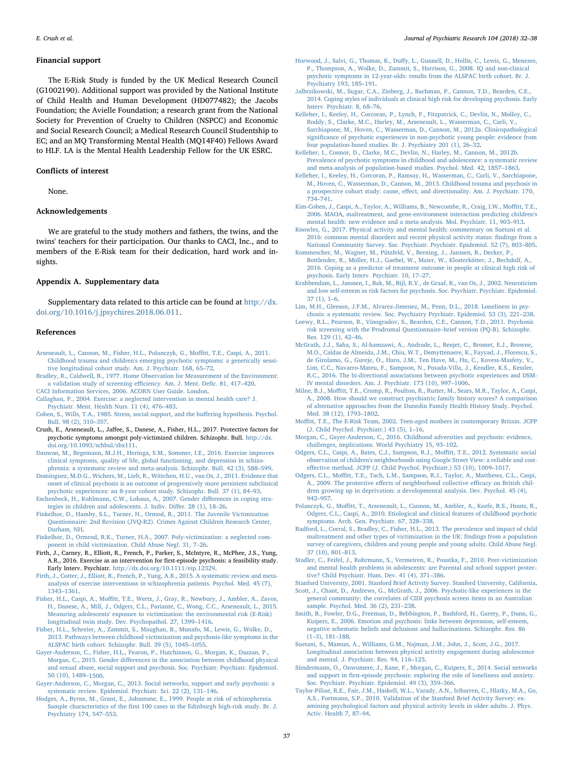#### Financial support

The E-Risk Study is funded by the UK Medical Research Council (G1002190). Additional support was provided by the National Institute of Child Health and Human Development (HD077482); the Jacobs Foundation; the Avielle Foundation; a research grant from the National Society for Prevention of Cruelty to Children (NSPCC) and Economic and Social Research Council; a Medical Research Council Studentship to EC; and an MQ Transforming Mental Health (MQ14F40) Fellows Award to HLF. LA is the Mental Health Leadership Fellow for the UK ESRC.

#### Conflicts of interest

None.

# Acknowledgements

We are grateful to the study mothers and fathers, the twins, and the twins' teachers for their participation. Our thanks to CACI, Inc., and to members of the E-Risk team for their dedication, hard work and insights.

#### Appendix A. Supplementary data

Supplementary data related to this article can be found at [http://dx.](http://dx.doi.org/10.1016/j.jpsychires.2018.06.011) [doi.org/10.1016/j.jpsychires.2018.06.011](http://dx.doi.org/10.1016/j.jpsychires.2018.06.011).

#### References

- <span id="page-5-5"></span>[Arseneault, L., Cannon, M., Fisher, H.L., Polanczyk, G., Mo](http://refhub.elsevier.com/S0022-3956(18)30450-3/sref1)ffitt, T.E., Caspi, A., 2011. [Childhood trauma and children's emerging psychotic symptoms: a genetically sensi](http://refhub.elsevier.com/S0022-3956(18)30450-3/sref1)[tive longitudinal cohort study. Am. J. Psychiatr. 168, 65](http://refhub.elsevier.com/S0022-3956(18)30450-3/sref1)–72.
- <span id="page-5-19"></span>[Bradley, R., Caldwell, B., 1977. Home Observation for Measurement of the Environment:](http://refhub.elsevier.com/S0022-3956(18)30450-3/sref2) [a validation study of screening e](http://refhub.elsevier.com/S0022-3956(18)30450-3/sref2)fficiency. Am. J. Ment. Defic. 81, 417–420.

<span id="page-5-43"></span><span id="page-5-10"></span>[CACI Information Services, 2006. ACORN User Guide. London](http://refhub.elsevier.com/S0022-3956(18)30450-3/sref3). [Callaghan, P., 2004. Exercise: a neglected intervention in mental health care? J.](http://refhub.elsevier.com/S0022-3956(18)30450-3/sref4) [Psychiatr. Ment. Health Nurs. 11 \(4\), 476](http://refhub.elsevier.com/S0022-3956(18)30450-3/sref4)–483.

- <span id="page-5-33"></span>[Cohen, S., Wills, T.A., 1985. Stress, social support, and the bu](http://refhub.elsevier.com/S0022-3956(18)30450-3/sref5)ffering hypothesis. Psychol. [Bull. 98 \(2\), 310](http://refhub.elsevier.com/S0022-3956(18)30450-3/sref5)–357.
- <span id="page-5-7"></span>Crush, E., Arseneault, L., Jaffee, S., Danese, A., Fisher, H.L., 2017. Protective factors for psychotic symptoms amongst poly-victimized children. Schizophr. Bull. [http://dx.](http://dx.doi.org/10.1093/schbul/sbx111) [doi.org/10.1093/schbul/sbx111.](http://dx.doi.org/10.1093/schbul/sbx111)
- <span id="page-5-36"></span>[Dauwan, M., Begemann, M.J.H., Heringa, S.M., Sommer, I.E., 2016. Exercise improves](http://refhub.elsevier.com/S0022-3956(18)30450-3/sref7) [clinical symptoms, quality of life, global functioning, and depression in schizo](http://refhub.elsevier.com/S0022-3956(18)30450-3/sref7)[phrenia: a systematic review and meta-analysis. Schizophr. Bull. 42 \(3\), 588](http://refhub.elsevier.com/S0022-3956(18)30450-3/sref7)–599.
- <span id="page-5-0"></span>[Dominguez, M.D.G., Wichers, M., Lieb, R., Wittchen, H.U., van Os, J., 2011. Evidence that](http://refhub.elsevier.com/S0022-3956(18)30450-3/sref8) [onset of clinical psychosis is an outcome of progressively more persistent subclinical](http://refhub.elsevier.com/S0022-3956(18)30450-3/sref8) [psychotic experiences: an 8-year cohort study. Schizophr. Bull. 37 \(1\), 84](http://refhub.elsevier.com/S0022-3956(18)30450-3/sref8)–93.
- <span id="page-5-35"></span>[Eschenbeck, H., Kohlmann, C.W., Lohaus, A., 2007. Gender di](http://refhub.elsevier.com/S0022-3956(18)30450-3/sref9)fferences in coping stra[tegies in children and adolescents. J. Indiv. Di](http://refhub.elsevier.com/S0022-3956(18)30450-3/sref9)ffer. 28 (1), 18–26.
- <span id="page-5-25"></span>[Finkelhor, D., Hamby, S.L., Turner, H., Ormod, R., 2011. The Juvenile Victimization](http://refhub.elsevier.com/S0022-3956(18)30450-3/sref10) [Questionnaire: 2nd Revision \(JVQ-R2\). Crimes Against Children Research Center,](http://refhub.elsevier.com/S0022-3956(18)30450-3/sref10) [Durham, NH.](http://refhub.elsevier.com/S0022-3956(18)30450-3/sref10)
- <span id="page-5-4"></span>[Finkelhor, D., Ormrod, R.K., Turner, H.A., 2007. Poly-victimization: a neglected com](http://refhub.elsevier.com/S0022-3956(18)30450-3/sref11)[ponent in child victimization. Child Abuse Negl. 31, 7](http://refhub.elsevier.com/S0022-3956(18)30450-3/sref11)–26.
- <span id="page-5-38"></span>Firth, J., Carney, R., Elliott, R., French, P., Parker, S., McIntyre, R., McPhee, J.S., Yung, A.R., 2016. Exercise as an intervention for first-episode psychosis: a feasibility study. Early Interv. Psychiatr. <http://dx.doi.org/10.1111/eip.12329>.
- <span id="page-5-37"></span>[Firth, J., Cotter, J., Elliott, R., French, P., Yung, A.R., 2015. A systematic review and meta](http://refhub.elsevier.com/S0022-3956(18)30450-3/sref13)[analysis of exercise interventions in schizophrenia patients. Psychol. Med. 45 \(7\),](http://refhub.elsevier.com/S0022-3956(18)30450-3/sref13) 1343–[1361](http://refhub.elsevier.com/S0022-3956(18)30450-3/sref13).
- <span id="page-5-26"></span>Fisher, H.L., Caspi, A., Moffi[tt, T.E., Wertz, J., Gray, R., Newbury, J., Ambler, A., Zavos,](http://refhub.elsevier.com/S0022-3956(18)30450-3/sref14) [H., Danese, A., Mill, J., Odgers, C.L., Pariante, C., Wong, C.C., Arseneault, L., 2015.](http://refhub.elsevier.com/S0022-3956(18)30450-3/sref14) [Measuring adolescents' exposure to victimization: the environmental risk \(E-Risk\)](http://refhub.elsevier.com/S0022-3956(18)30450-3/sref14) [longitudinal twin study. Dev. Psychopathol. 27, 1399](http://refhub.elsevier.com/S0022-3956(18)30450-3/sref14)–1416.
- <span id="page-5-32"></span>[Fisher, H.L., Schreier, A., Zammit, S., Maughan, B., Munafo, M., Lewis, G., Wolke, D.,](http://refhub.elsevier.com/S0022-3956(18)30450-3/sref15) [2013. Pathways between childhood victimization and psychosis-like symptoms in the](http://refhub.elsevier.com/S0022-3956(18)30450-3/sref15) [ALSPAC birth cohort. Schizophr. Bull. 39 \(5\), 1045](http://refhub.elsevier.com/S0022-3956(18)30450-3/sref15)–1055.
- <span id="page-5-12"></span>[Gayer-Anderson, C., Fisher, H.L., Fearon, P., Hutchinson, G., Morgan, K., Dazzan, P.,](http://refhub.elsevier.com/S0022-3956(18)30450-3/sref16) Morgan, C., 2015. Gender diff[erences in the association between childhood physical](http://refhub.elsevier.com/S0022-3956(18)30450-3/sref16) [and sexual abuse, social support and psychosis. Soc. Psychiatr. Psychiatr. Epidemiol.](http://refhub.elsevier.com/S0022-3956(18)30450-3/sref16) [50 \(10\), 1489](http://refhub.elsevier.com/S0022-3956(18)30450-3/sref16)–1500.
- <span id="page-5-13"></span>Gayer-Anderson, [C., Morgan, C., 2013. Social networks, support and early psychosis: a](http://refhub.elsevier.com/S0022-3956(18)30450-3/sref17) [systematic review. Epidemiol. Psychiatr. Sci. 22 \(2\), 131](http://refhub.elsevier.com/S0022-3956(18)30450-3/sref17)–146.
- <span id="page-5-14"></span>[Hodges, A., Byrne, M., Grant, E., Johnstone, E., 1999. People at risk of schizophrenia.](http://refhub.elsevier.com/S0022-3956(18)30450-3/sref18) Sample characteristics of the fi[rst 100 cases in the Edinburgh high-risk study. Br. J.](http://refhub.elsevier.com/S0022-3956(18)30450-3/sref18) [Psychiatry 174, 547](http://refhub.elsevier.com/S0022-3956(18)30450-3/sref18)–553.
- <span id="page-5-40"></span>Horwood, J., Salvi, G., Thomas, K., Duff[y, L., Gunnell, D., Hollis, C., Lewis, G., Menezes,](http://refhub.elsevier.com/S0022-3956(18)30450-3/sref19) [P., Thompson, A., Wolke, D., Zammit, S., Harrison, G., 2008. IQ and non-clinical](http://refhub.elsevier.com/S0022-3956(18)30450-3/sref19) [psychotic symptoms in 12-year-olds: results from the ALSPAC birth cohort. Br. J.](http://refhub.elsevier.com/S0022-3956(18)30450-3/sref19) [Psychiatry 193, 185](http://refhub.elsevier.com/S0022-3956(18)30450-3/sref19)–191.
- <span id="page-5-8"></span>[Jalbrzikowski, M., Sugar, C.A., Zinberg, J., Bachman, P., Cannon, T.D., Bearden, C.E.,](http://refhub.elsevier.com/S0022-3956(18)30450-3/sref21) [2014. Coping styles of individuals at clinical high risk for developing psychosis. Early](http://refhub.elsevier.com/S0022-3956(18)30450-3/sref21) [Interv. Psychiatr. 8, 68](http://refhub.elsevier.com/S0022-3956(18)30450-3/sref21)–76.
- <span id="page-5-2"></span>[Kelleher, I., Keeley, H., Corcoran, P., Lynch, F., Fitzpatrick, C., Devlin, N., Molloy, C.,](http://refhub.elsevier.com/S0022-3956(18)30450-3/sref23) [Roddy, S., Clarke, M.C., Harley, M., Arseneault, L., Wasserman, C., Carli, V.,](http://refhub.elsevier.com/S0022-3956(18)30450-3/sref23) [Sarchiapone, M., Hoven, C., Wasserman, D., Cannon, M., 2012a. Clinicopathological](http://refhub.elsevier.com/S0022-3956(18)30450-3/sref23) signifi[cance of psychotic experiences in non-psychotic young people: evidence from](http://refhub.elsevier.com/S0022-3956(18)30450-3/sref23) [four population-based studies. Br. J. Psychiatry 201 \(1\), 26](http://refhub.elsevier.com/S0022-3956(18)30450-3/sref23)–32.
- <span id="page-5-24"></span>[Kelleher, I., Connor, D., Clarke, M.C., Devlin, N., Harley, M., Cannon, M., 2012b.](http://refhub.elsevier.com/S0022-3956(18)30450-3/sref22) [Prevalence of psychotic symptoms in childhood and adolescence: a systematic review](http://refhub.elsevier.com/S0022-3956(18)30450-3/sref22) [and meta-analysis of population-based studies. Psychol. Med. 42, 1857](http://refhub.elsevier.com/S0022-3956(18)30450-3/sref22)–1863.
- <span id="page-5-3"></span>[Kelleher, I., Keeley, H., Corcoran, P., Ramsay, H., Wasserman, C., Carli, V., Sarchiapone,](http://refhub.elsevier.com/S0022-3956(18)30450-3/sref24) [M., Hoven, C., Wasserman, D., Cannon, M., 2013. Childhood trauma and psychosis in](http://refhub.elsevier.com/S0022-3956(18)30450-3/sref24) a prospective cohort study: cause, eff[ect, and directionality. Am. J. Psychiatr. 170,](http://refhub.elsevier.com/S0022-3956(18)30450-3/sref24) 734–[741](http://refhub.elsevier.com/S0022-3956(18)30450-3/sref24).
- <span id="page-5-18"></span>[Kim-Cohen, J., Caspi, A., Taylor, A., Williams, B., Newcombe, R., Craig, I.W., Mo](http://refhub.elsevier.com/S0022-3956(18)30450-3/sref25)ffitt, T.E., [2006. MAOA, maltreatment, and gene-environment interaction predicting children's](http://refhub.elsevier.com/S0022-3956(18)30450-3/sref25) [mental health: new evidence and a meta-analysis. Mol. Psychiatr. 11, 903](http://refhub.elsevier.com/S0022-3956(18)30450-3/sref25)–913.
- <span id="page-5-39"></span>[Knowles, G., 2017. Physical activity and mental health: commentary on Suetani et al.](http://refhub.elsevier.com/S0022-3956(18)30450-3/sref26) [2016: common mental disorders and recent physical activity status:](http://refhub.elsevier.com/S0022-3956(18)30450-3/sref26) findings from a [National Community Survey. Soc. Psychiatr. Psychiatr. Epidemiol. 52 \(7\), 803](http://refhub.elsevier.com/S0022-3956(18)30450-3/sref26)–805.
- <span id="page-5-9"></span>[Kommescher, M., Wagner, M., Pützfeld, V., Berning, J., Janssen, B., Decker, P.,](http://refhub.elsevier.com/S0022-3956(18)30450-3/sref27) [Bottlender, R., Möller, H.J., Gaebel, W., Maier, W., Klosterkötter, J., Bechdolf, A.,](http://refhub.elsevier.com/S0022-3956(18)30450-3/sref27) [2016. Coping as a predictor of treatment outcome in people at clinical high risk of](http://refhub.elsevier.com/S0022-3956(18)30450-3/sref27) [psychosis. Early Interv. Psychiatr. 10, 17](http://refhub.elsevier.com/S0022-3956(18)30450-3/sref27)–27.
- <span id="page-5-31"></span>[Krabbendam, L., Janssen, I., Bak, M., Bijl, R.V., de Graaf, R., van Os, J., 2002. Neuroticism](http://refhub.elsevier.com/S0022-3956(18)30450-3/sref28) [and low self-esteem as risk factors for psychosis. Soc. Psychiatr. Psychiatr. Epidemiol.](http://refhub.elsevier.com/S0022-3956(18)30450-3/sref28) [37 \(1\), 1](http://refhub.elsevier.com/S0022-3956(18)30450-3/sref28)–6.
- <span id="page-5-29"></span>[Lim, M.H., Gleeson, J.F.M., Alvarez-Jimenez, M., Penn, D.L., 2018. Loneliness in psy](http://refhub.elsevier.com/S0022-3956(18)30450-3/sref60)[chosis: a systematic review. Soc. Psychiatry Psychiatr. Epidemiol. 53 \(3\), 221](http://refhub.elsevier.com/S0022-3956(18)30450-3/sref60)–238.
- <span id="page-5-22"></span>[Loewy, R.L., Pearson, R., Vinogradov, S., Bearden, C.E., Cannon, T.D., 2011. Psychosis](http://refhub.elsevier.com/S0022-3956(18)30450-3/sref29) [risk screening with the Prodromal Questionnaire](http://refhub.elsevier.com/S0022-3956(18)30450-3/sref29)–brief version (PQ-B). Schizophr. [Res. 129 \(1\), 42](http://refhub.elsevier.com/S0022-3956(18)30450-3/sref29)–46.
- <span id="page-5-1"></span>[McGrath, J.J., Saha, S., Al-hamzawi, A., Andrade, L., Benjet, C., Bromet, E.J., Browne,](http://refhub.elsevier.com/S0022-3956(18)30450-3/sref30) [M.O., Caldas de Almeida, J.M., Chiu, W.T., Demyttenaere, K., Fayyad, J., Florescu, S.,](http://refhub.elsevier.com/S0022-3956(18)30450-3/sref30) [de Girolamo, G., Gureje, O., Haro, J.M., Ten Have, M., Hu, C., Kovess-Masfety, V.,](http://refhub.elsevier.com/S0022-3956(18)30450-3/sref30) [Lim, C.C., Navarro-Mateu, F., Sampson, N., Posada-Villa, J., Kendler, K.S., Kessler,](http://refhub.elsevier.com/S0022-3956(18)30450-3/sref30) [R.C., 2016. The bi-directional associations between psychotic experiences and DSM-](http://refhub.elsevier.com/S0022-3956(18)30450-3/sref30)[IV mental disorders. Am. J. Psychiatr. 173 \(10\), 997](http://refhub.elsevier.com/S0022-3956(18)30450-3/sref30)–1006.
- <span id="page-5-27"></span>Milne, B.J., Moffi[tt, T.E., Crump, R., Poulton, R., Rutter, M., Sears, M.R., Taylor, A., Caspi,](http://refhub.elsevier.com/S0022-3956(18)30450-3/sref31) [A., 2008. How should we construct psychiatric family history scores? A comparison](http://refhub.elsevier.com/S0022-3956(18)30450-3/sref31) [of alternative approaches from the Dunedin Family Health History Study. Psychol.](http://refhub.elsevier.com/S0022-3956(18)30450-3/sref31) [Med. 38 \(12\), 1793](http://refhub.elsevier.com/S0022-3956(18)30450-3/sref31)–1802.
- <span id="page-5-15"></span>Moffi[tt, T.E., The E-Risk Team, 2002. Teen-aged mothers in contemporary Britain. JCPP](http://refhub.elsevier.com/S0022-3956(18)30450-3/sref32) [\(J. Child Psychol. Psychiatr.\) 43 \(5\), 1](http://refhub.elsevier.com/S0022-3956(18)30450-3/sref32)–16.
- <span id="page-5-6"></span>[Morgan, C., Gayer-Anderson, C., 2016. Childhood adversities and psychosis: evidence,](http://refhub.elsevier.com/S0022-3956(18)30450-3/sref33)
- <span id="page-5-21"></span>[challenges, implications. World Psychiatry 15, 93](http://refhub.elsevier.com/S0022-3956(18)30450-3/sref33)–102. [Odgers, C.L., Caspi, A., Bates, C.J., Sampson, R.J., Mo](http://refhub.elsevier.com/S0022-3956(18)30450-3/sref34)ffitt, T.E., 2012. Systematic social [observation of children's neighborhoods using Google Street View: a reliable and cost](http://refhub.elsevier.com/S0022-3956(18)30450-3/sref34)eff[ective method. JCPP \(J. Child Psychol. Psychiatr.\) 53 \(10\), 1009](http://refhub.elsevier.com/S0022-3956(18)30450-3/sref34)–1017.
- <span id="page-5-20"></span>Odgers, C.L., Moffi[tt, T.E., Tach, L.M., Sampson, R.J., Taylor, A., Matthews, C.L., Caspi,](http://refhub.elsevier.com/S0022-3956(18)30450-3/sref35) A., 2009. The protective eff[ects of neighborhood collective e](http://refhub.elsevier.com/S0022-3956(18)30450-3/sref35)fficacy on British chil[dren growing up in deprivation: a developmental analysis. Dev. Psychol. 45 \(4\),](http://refhub.elsevier.com/S0022-3956(18)30450-3/sref35) 942–[957](http://refhub.elsevier.com/S0022-3956(18)30450-3/sref35).
- <span id="page-5-23"></span>Polanczyk, G., Moffi[tt, T., Arseneault, L., Cannon, M., Ambler, A., Keefe, R.S., Houts, R.,](http://refhub.elsevier.com/S0022-3956(18)30450-3/sref36) [Odgers, C.L., Caspi, A., 2010. Etiological and clinical features of childhood psychotic](http://refhub.elsevier.com/S0022-3956(18)30450-3/sref36) [symptoms. Arch. Gen. Psychiatr. 67, 328](http://refhub.elsevier.com/S0022-3956(18)30450-3/sref36)–338.
- <span id="page-5-42"></span>[Radford, L., Corral, S., Bradley, C., Fisher, H.L., 2013. The prevalence and impact of child](http://refhub.elsevier.com/S0022-3956(18)30450-3/sref37) [maltreatment and other types of victimization in the UK:](http://refhub.elsevier.com/S0022-3956(18)30450-3/sref37) findings from a population [survey of caregivers, children and young people and young adults. Child Abuse Negl.](http://refhub.elsevier.com/S0022-3956(18)30450-3/sref37) [37 \(10\), 801](http://refhub.elsevier.com/S0022-3956(18)30450-3/sref37)–813.
- <span id="page-5-34"></span>[Stadler, C., Feifel, J., Rohrmann, S., Vermeiren, R., Poustka, F., 2010. Peer-victimization](http://refhub.elsevier.com/S0022-3956(18)30450-3/sref39) [and mental health problems in adolescents: are Parental and school support protec](http://refhub.elsevier.com/S0022-3956(18)30450-3/sref39)[tive? Child Psychiatr. Hum. Dev. 41 \(4\), 371](http://refhub.elsevier.com/S0022-3956(18)30450-3/sref39)–386.
- <span id="page-5-41"></span><span id="page-5-16"></span>[Stanford University, 2001. Stanford Brief Activity Survey. Stanford University, California.](http://refhub.elsevier.com/S0022-3956(18)30450-3/sref40) [Scott, J., Chant, D., Andrews, G., McGrath, J., 2006. Psychotic-like experiences in the](http://refhub.elsevier.com/S0022-3956(18)30450-3/sref41)
- [general community: the correlates of CIDI psychosis screen items in an Australian](http://refhub.elsevier.com/S0022-3956(18)30450-3/sref41) [sample. Psychol. Med. 36 \(2\), 231](http://refhub.elsevier.com/S0022-3956(18)30450-3/sref41)–238.
- <span id="page-5-28"></span>[Smith, B., Fowler, D.G., Freeman, D., Bebbington, P., Bashford, H., Garety, P., Dunn, G.,](http://refhub.elsevier.com/S0022-3956(18)30450-3/sref42) [Kuipers, E., 2006. Emotion and psychosis: links between depression, self-esteem,](http://refhub.elsevier.com/S0022-3956(18)30450-3/sref42) [negative schematic beliefs and delusions and hallucinations. Schizophr. Res. 86](http://refhub.elsevier.com/S0022-3956(18)30450-3/sref42) (1–[3\), 181](http://refhub.elsevier.com/S0022-3956(18)30450-3/sref42)–188.
- <span id="page-5-11"></span>[Suetani, S., Mamun, A., Williams, G.M., Najman, J.M., John, J., Scott, J.G., 2017.](http://refhub.elsevier.com/S0022-3956(18)30450-3/sref43) [Longitudinal association between physical activity engagement during adolescence](http://refhub.elsevier.com/S0022-3956(18)30450-3/sref43) [and mental. J. Psychiatr. Res. 94, 116](http://refhub.elsevier.com/S0022-3956(18)30450-3/sref43)–123.
- <span id="page-5-30"></span>[Sündermann, O., Onwumere, J., Kane, F., Morgan, C., Kuipers, E., 2014. Social networks](http://refhub.elsevier.com/S0022-3956(18)30450-3/sref44) and support in fi[rst-episode psychosis: exploring the role of loneliness and anxiety.](http://refhub.elsevier.com/S0022-3956(18)30450-3/sref44) [Soc. Psychiatr. Psychiatr. Epidemiol. 49 \(3\), 359](http://refhub.elsevier.com/S0022-3956(18)30450-3/sref44)–366.
- <span id="page-5-17"></span>[Taylor-Piliae, R.E., Fair, J.M., Haskell, W.L., Varady, A.N., Iribarren, C., Hlatky, M.A., Go,](http://refhub.elsevier.com/S0022-3956(18)30450-3/sref45) [A.S., Fortmann, S.P., 2010. Validation of the Stanford Brief Activity Survey: ex](http://refhub.elsevier.com/S0022-3956(18)30450-3/sref45)[amining psychological factors and physical activity levels in older adults. J. Phys.](http://refhub.elsevier.com/S0022-3956(18)30450-3/sref45) Activ. [Health 7, 87](http://refhub.elsevier.com/S0022-3956(18)30450-3/sref45)–94.